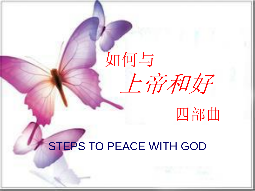# 如何与 上帝和好

四部曲

#### STEPS TO PEACE WITH GOD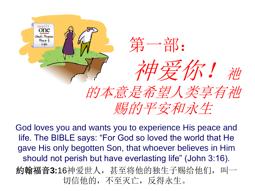

God loves you and wants you to experience His peace and life. The BIBLE says: "For God so loved the world that He gave His only begotten Son, that whoever believes in Him should not perish but have everlasting life" (John 3:16).

約翰福音**3:**16神爱世人,甚至将他的独生子赐给他们,叫一 切信他的,不至灭亡,反得永生。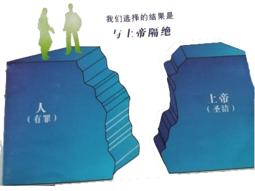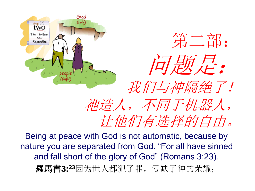





## 我们与神隔绝了! 祂造人,不同于机器人, 让他们有选择的自由。

Being at peace with God is not automatic, because by nature you are separated from God. "For all have sinned and fall short of the glory of God" (Romans 3:23). 羅馬書**3:23**因为世人都犯了罪,亏缺了神的荣耀;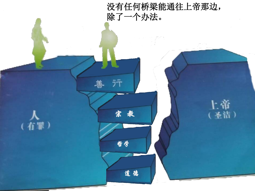





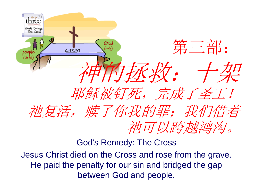

God's Remedy: The Cross

Jesus Christ died on the Cross and rose from the grave. He paid the penalty for our sin and bridged the gap between God and people.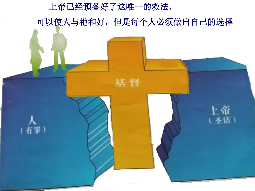上帝已经预备好了这唯一的救法, 可以使人与祂和好,但是每个人必须做出自己的选择

基督

(有罪)

(圣洁)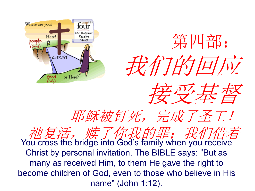





## 耶稣被钉死,完成了圣工!

施复活, 赎了你我的罪;我们信着 You cross the bridge into God's family when you receive Christ by personal invitation. The BIBLE says: "But as many as received Him, to them He gave the right to become children of God, even to those who believe in His name" (John 1:12).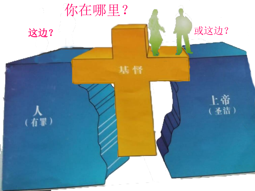